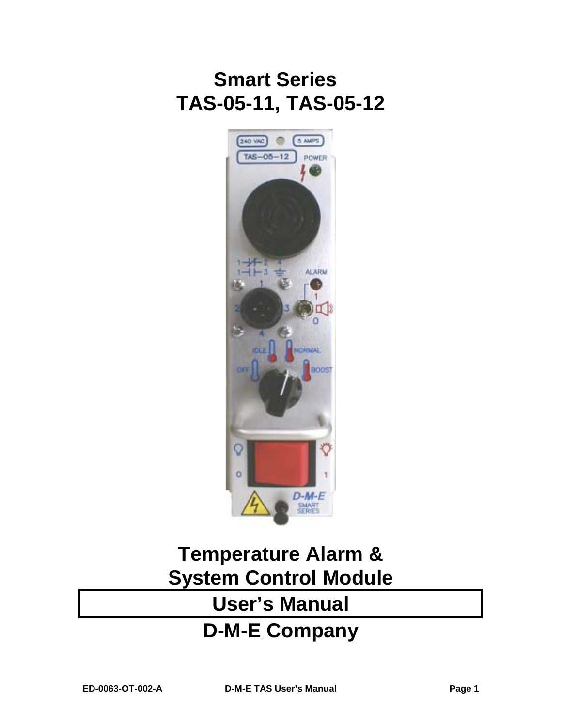# **Smart Series TAS-05-11, TAS-05-12**



# **Temperature Alarm & System Control Module User's Manual D-M-E Company**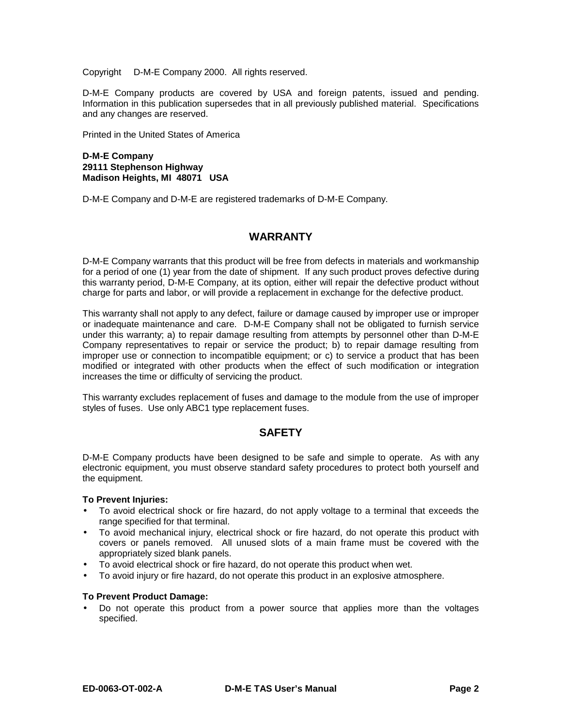Copyright © D-M-E Company 2000. All rights reserved.

D-M-E Company products are covered by USA and foreign patents, issued and pending. Information in this publication supersedes that in all previously published material. Specifications and any changes are reserved.

Printed in the United States of America

## **D-M-E Company 29111 Stephenson Highway Madison Heights, MI 48071 USA**

D-M-E Company and D-M-E are registered trademarks of D-M-E Company.

# **WARRANTY**

D-M-E Company warrants that this product will be free from defects in materials and workmanship for a period of one (1) year from the date of shipment. If any such product proves defective during this warranty period, D-M-E Company, at its option, either will repair the defective product without charge for parts and labor, or will provide a replacement in exchange for the defective product.

This warranty shall not apply to any defect, failure or damage caused by improper use or improper or inadequate maintenance and care. D-M-E Company shall not be obligated to furnish service under this warranty; a) to repair damage resulting from attempts by personnel other than D-M-E Company representatives to repair or service the product; b) to repair damage resulting from improper use or connection to incompatible equipment; or c) to service a product that has been modified or integrated with other products when the effect of such modification or integration increases the time or difficulty of servicing the product.

This warranty excludes replacement of fuses and damage to the module from the use of improper styles of fuses. Use only ABC1 type replacement fuses.

# **SAFETY**

D-M-E Company products have been designed to be safe and simple to operate. As with any electronic equipment, you must observe standard safety procedures to protect both yourself and the equipment.

## **To Prevent Injuries:**

- To avoid electrical shock or fire hazard, do not apply voltage to a terminal that exceeds the range specified for that terminal.
- To avoid mechanical injury, electrical shock or fire hazard, do not operate this product with covers or panels removed. All unused slots of a main frame must be covered with the appropriately sized blank panels.
- To avoid electrical shock or fire hazard, do not operate this product when wet.
- To avoid injury or fire hazard, do not operate this product in an explosive atmosphere.

## **To Prevent Product Damage:**

• Do not operate this product from a power source that applies more than the voltages specified.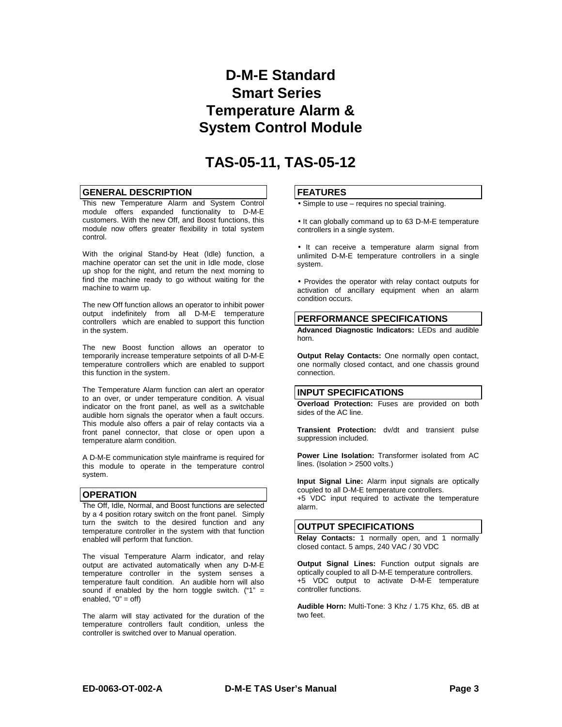# **D-M-E Standard Smart Series Temperature Alarm & System Control Module**

# **TAS-05-11, TAS-05-12**

#### **GENERAL DESCRIPTION**

This new Temperature Alarm and System Control module offers expanded functionality to D-M-E customers. With the new Off, and Boost functions, this module now offers greater flexibility in total system control.

With the original Stand-by Heat (Idle) function, a machine operator can set the unit in Idle mode, close up shop for the night, and return the next morning to find the machine ready to go without waiting for the machine to warm up.

The new Off function allows an operator to inhibit power output indefinitely from all D-M-E temperature controllers which are enabled to support this function in the system.

The new Boost function allows an operator to temporarily increase temperature setpoints of all D-M-E temperature controllers which are enabled to support this function in the system.

The Temperature Alarm function can alert an operator to an over, or under temperature condition. A visual indicator on the front panel, as well as a switchable audible horn signals the operator when a fault occurs. This module also offers a pair of relay contacts via a front panel connector, that close or open upon a temperature alarm condition.

A D-M-E communication style mainframe is required for this module to operate in the temperature control system.

#### **OPERATION**

The Off, Idle, Normal, and Boost functions are selected by a 4 position rotary switch on the front panel. Simply turn the switch to the desired function and any temperature controller in the system with that function enabled will perform that function.

The visual Temperature Alarm indicator, and relay output are activated automatically when any D-M-E temperature controller in the system senses a temperature fault condition. An audible horn will also sound if enabled by the horn toggle switch.  $("1" =$ enabled,  $"0" = off$ )

The alarm will stay activated for the duration of the temperature controllers fault condition, unless the controller is switched over to Manual operation.

#### **FEATURES**

• Simple to use – requires no special training.

• It can globally command up to 63 D-M-E temperature controllers in a single system.

• It can receive a temperature alarm signal from unlimited D-M-E temperature controllers in a single system.

• Provides the operator with relay contact outputs for activation of ancillary equipment when an alarm condition occurs.

#### **PERFORMANCE SPECIFICATIONS**

**Advanced Diagnostic Indicators:** LEDs and audible horn.

**Output Relay Contacts:** One normally open contact, one normally closed contact, and one chassis ground connection.

#### **INPUT SPECIFICATIONS**

**Overload Protection:** Fuses are provided on both sides of the AC line.

**Transient Protection:** dv/dt and transient pulse suppression included.

**Power Line Isolation:** Transformer isolated from AC lines. (Isolation > 2500 volts.)

**Input Signal Line:** Alarm input signals are optically coupled to all D-M-E temperature controllers. +5 VDC input required to activate the temperature alarm.

#### **OUTPUT SPECIFICATIONS**

**Relay Contacts:** 1 normally open, and 1 normally closed contact. 5 amps, 240 VAC / 30 VDC

**Output Signal Lines:** Function output signals are optically coupled to all D-M-E temperature controllers. +5 VDC output to activate D-M-E temperature controller functions.

**Audible Horn:** Multi-Tone: 3 Khz / 1.75 Khz, 65. dB at two feet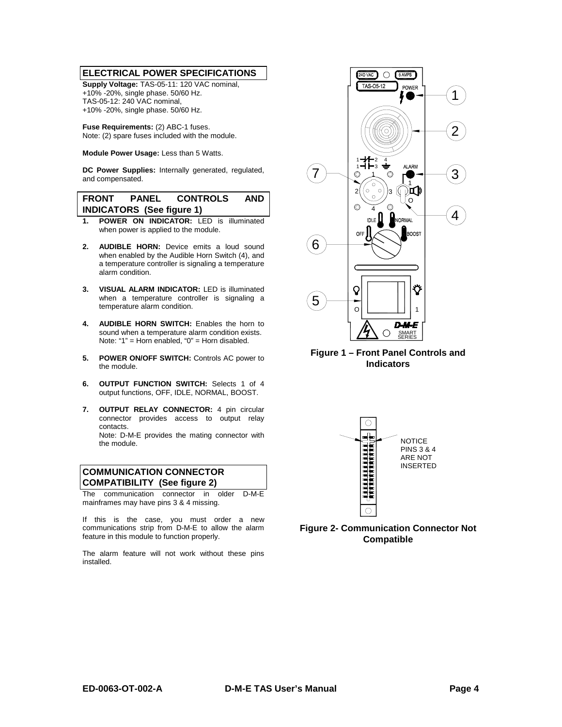#### **ELECTRICAL POWER SPECIFICATIONS**

**Supply Voltage:** TAS-05-11: 120 VAC nominal, +10% -20%, single phase. 50/60 Hz. TAS-05-12: 240 VAC nominal, +10% -20%, single phase. 50/60 Hz.

**Fuse Requirements:** (2) ABC-1 fuses. Note: (2) spare fuses included with the module.

**Module Power Usage:** Less than 5 Watts.

**DC Power Supplies:** Internally generated, regulated, and compensated.

# **FRONT PANEL CONTROLS AND INDICATORS (See figure 1)**

- **1. POWER ON INDICATOR:** LED is illuminated when power is applied to the module.
- **2. AUDIBLE HORN:** Device emits a loud sound when enabled by the Audible Horn Switch (4), and a temperature controller is signaling a temperature alarm condition.
- **3. VISUAL ALARM INDICATOR:** LED is illuminated when a temperature controller is signaling a temperature alarm condition.
- **4. AUDIBLE HORN SWITCH:** Enables the horn to sound when a temperature alarm condition exists. Note: "1" = Horn enabled, "0" = Horn disabled.
- **5. POWER ON/OFF SWITCH:** Controls AC power to the module.
- **6. OUTPUT FUNCTION SWITCH:** Selects 1 of 4 output functions, OFF, IDLE, NORMAL, BOOST.
- **7. OUTPUT RELAY CONNECTOR:** 4 pin circular connector provides access to output relay contacts. Note: D-M-E provides the mating connector with the module.

# **COMMUNICATION CONNECTOR COMPATIBILITY (See figure 2)**

The communication connector in older D-M-E mainframes may have pins 3 & 4 missing.

If this is the case, you must order a new communications strip from D-M-E to allow the alarm feature in this module to function properly.

The alarm feature will not work without these pins installed.



**Figure 1 – Front Panel Controls and Indicators**



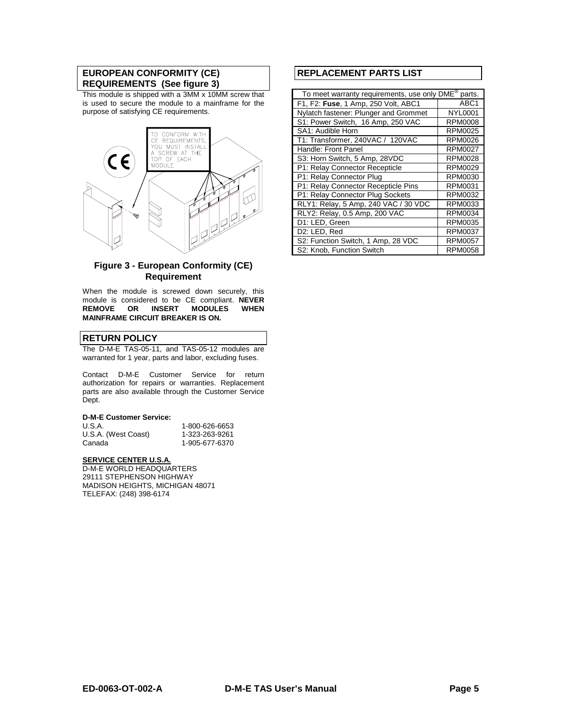## **EUROPEAN CONFORMITY (CE) REQUIREMENTS (See figure 3)**

This module is shipped with a 3MM x 10MM screw that is used to secure the module to a mainframe for the purpose of satisfying CE requirements.



# **Figure 3 - European Conformity (CE) Requirement**

When the module is screwed down securely, this module is considered to be CE compliant. **NEVER REMOVE OR INSERT MODULES WHEN MAINFRAME CIRCUIT BREAKER IS ON.**

# **RETURN POLICY**

The D-M-E TAS-05-11, and TAS-05-12 modules are warranted for 1 year, parts and labor, excluding fuses.

Contact D-M-E Customer Service for return authorization for repairs or warranties. Replacement parts are also available through the Customer Service Dept.

#### **D-M-E Customer Service:**

| U.S.A.              | 1-800-626-6653 |
|---------------------|----------------|
| U.S.A. (West Coast) | 1-323-263-9261 |
| Canada              | 1-905-677-6370 |

#### **SERVICE CENTER U.S.A.**

D-M-E WORLD HEADQUARTERS 29111 STEPHENSON HIGHWAY MADISON HEIGHTS, MICHIGAN 48071 TELEFAX: (248) 398-6174

# **REPLACEMENT PARTS LIST**

| To meet warranty requirements, use only DME®<br>parts. |                  |  |
|--------------------------------------------------------|------------------|--|
| F1, F2: Fuse, 1 Amp, 250 Volt, ABC1                    | ABC <sub>1</sub> |  |
| Nylatch fastener: Plunger and Grommet                  | <b>NYL0001</b>   |  |
| S1: Power Switch, 16 Amp, 250 VAC                      | <b>RPM0008</b>   |  |
| SA1: Audible Horn                                      | <b>RPM0025</b>   |  |
| T1: Transformer, 240VAC / 120VAC                       | <b>RPM0026</b>   |  |
| Handle: Front Panel                                    | <b>RPM0027</b>   |  |
| S3: Horn Switch, 5 Amp, 28VDC                          | <b>RPM0028</b>   |  |
| P1: Relay Connector Recepticle                         | <b>RPM0029</b>   |  |
| P1: Relay Connector Plug                               | <b>RPM0030</b>   |  |
| P1: Relay Connector Recepticle Pins                    | RPM0031          |  |
| P1: Relay Connector Plug Sockets                       | <b>RPM0032</b>   |  |
| RLY1: Relay, 5 Amp, 240 VAC / 30 VDC                   | RPM0033          |  |
| RLY2: Relay, 0.5 Amp, 200 VAC                          | <b>RPM0034</b>   |  |
| D1: LED, Green                                         | <b>RPM0035</b>   |  |
| D2: LED, Red                                           | <b>RPM0037</b>   |  |
| S2: Function Switch, 1 Amp, 28 VDC                     | <b>RPM0057</b>   |  |
| S2: Knob, Function Switch                              | <b>RPM0058</b>   |  |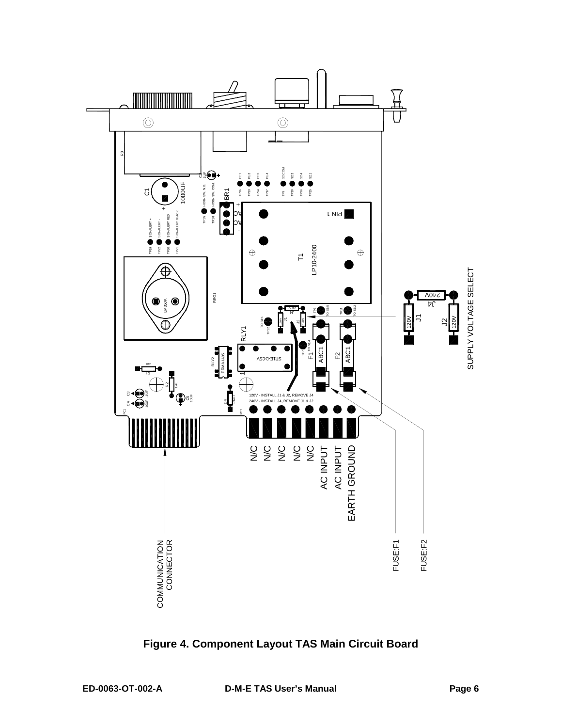

**Figure 4. Component Layout TAS Main Circuit Board**